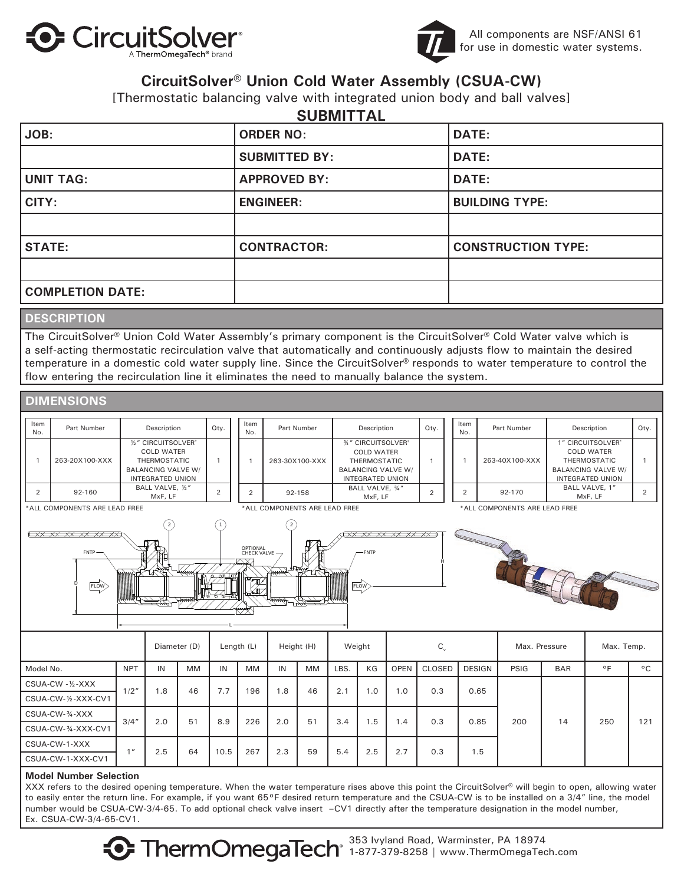



### **CircuitSolver® Union Cold Water Assembly (CSUA-CW)**

[Thermostatic balancing valve with integrated union body and ball valves]

| <b>SUBMITTAL</b>        |                      |                           |
|-------------------------|----------------------|---------------------------|
| JOB:                    | <b>ORDER NO:</b>     | <b>DATE:</b>              |
|                         | <b>SUBMITTED BY:</b> | DATE:                     |
| <b>UNIT TAG:</b>        | <b>APPROVED BY:</b>  | <b>DATE:</b>              |
| CITY:                   | <b>ENGINEER:</b>     | <b>BUILDING TYPE:</b>     |
|                         |                      |                           |
| <b>STATE:</b>           | <b>CONTRACTOR:</b>   | <b>CONSTRUCTION TYPE:</b> |
|                         |                      |                           |
| <b>COMPLETION DATE:</b> |                      |                           |

### **DESCRIPTION**

The CircuitSolver® Union Cold Water Assembly's primary component is the CircuitSolver® Cold Water valve which is a self-acting thermostatic recirculation valve that automatically and continuously adjusts flow to maintain the desired temperature in a domestic cold water supply line. Since the CircuitSolver<sup>®</sup> responds to water temperature to control the flow entering the recirculation line it eliminates the need to manually balance the system.



#### **Model Number Selection**

XXX refers to the desired opening temperature. When the water temperature rises above this point the CircuitSolver® will begin to open, allowing water to easily enter the return line. For example, if you want 65°F desired return temperature and the CSUA-CW is to be installed on a 3/4" line, the model number would be CSUA-CW-3/4-65. To add optional check valve insert –CV1 directly after the temperature designation in the model number, Ex. CSUA-CW-3/4-65-CV1.

> 353 Ivyland Road, Warminster, PA 18974  $\bullet$  ThermOmegaTech $^{\circ}$  1-877-379-8258 | www.ThermOmegaTech.com